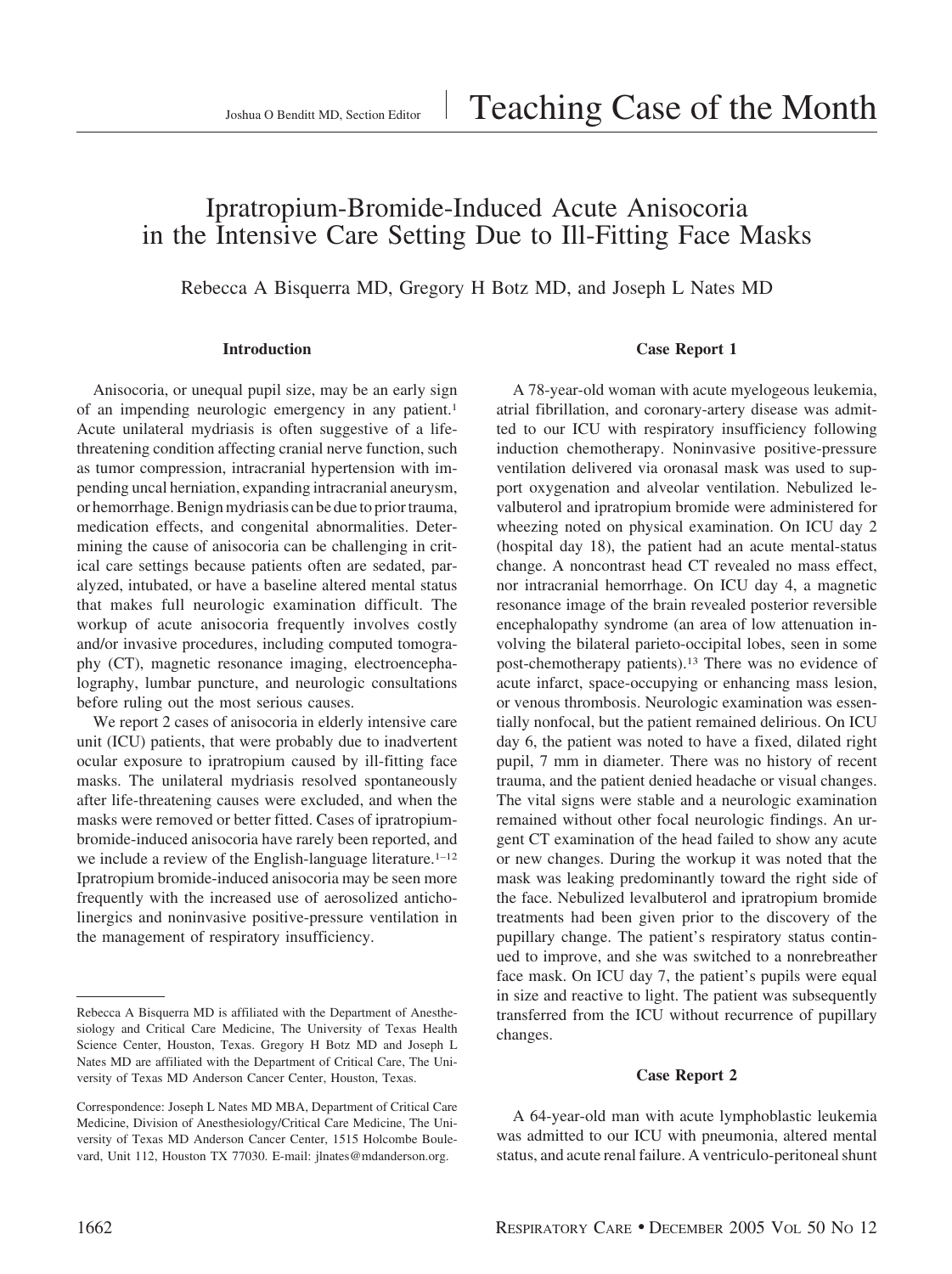# Ipratropium-Bromide-Induced Acute Anisocoria in the Intensive Care Setting Due to Ill-Fitting Face Masks

Rebecca A Bisquerra MD, Gregory H Botz MD, and Joseph L Nates MD

### **Introduction**

Anisocoria, or unequal pupil size, may be an early sign of an impending neurologic emergency in any patient.<sup>1</sup> Acute unilateral mydriasis is often suggestive of a lifethreatening condition affecting cranial nerve function, such as tumor compression, intracranial hypertension with impending uncal herniation, expanding intracranial aneurysm, or hemorrhage. Benign mydriasis can be due to prior trauma, medication effects, and congenital abnormalities. Determining the cause of anisocoria can be challenging in critical care settings because patients often are sedated, paralyzed, intubated, or have a baseline altered mental status that makes full neurologic examination difficult. The workup of acute anisocoria frequently involves costly and/or invasive procedures, including computed tomography (CT), magnetic resonance imaging, electroencephalography, lumbar puncture, and neurologic consultations before ruling out the most serious causes.

We report 2 cases of anisocoria in elderly intensive care unit (ICU) patients, that were probably due to inadvertent ocular exposure to ipratropium caused by ill-fitting face masks. The unilateral mydriasis resolved spontaneously after life-threatening causes were excluded, and when the masks were removed or better fitted. Cases of ipratropiumbromide-induced anisocoria have rarely been reported, and we include a review of the English-language literature.<sup>1-12</sup> Ipratropium bromide-induced anisocoria may be seen more frequently with the increased use of aerosolized anticholinergics and noninvasive positive-pressure ventilation in the management of respiratory insufficiency.

# **Case Report 1**

A 78-year-old woman with acute myelogeous leukemia, atrial fibrillation, and coronary-artery disease was admitted to our ICU with respiratory insufficiency following induction chemotherapy. Noninvasive positive-pressure ventilation delivered via oronasal mask was used to support oxygenation and alveolar ventilation. Nebulized levalbuterol and ipratropium bromide were administered for wheezing noted on physical examination. On ICU day 2 (hospital day 18), the patient had an acute mental-status change. A noncontrast head CT revealed no mass effect, nor intracranial hemorrhage. On ICU day 4, a magnetic resonance image of the brain revealed posterior reversible encephalopathy syndrome (an area of low attenuation involving the bilateral parieto-occipital lobes, seen in some post-chemotherapy patients).13 There was no evidence of acute infarct, space-occupying or enhancing mass lesion, or venous thrombosis. Neurologic examination was essentially nonfocal, but the patient remained delirious. On ICU day 6, the patient was noted to have a fixed, dilated right pupil, 7 mm in diameter. There was no history of recent trauma, and the patient denied headache or visual changes. The vital signs were stable and a neurologic examination remained without other focal neurologic findings. An urgent CT examination of the head failed to show any acute or new changes. During the workup it was noted that the mask was leaking predominantly toward the right side of the face. Nebulized levalbuterol and ipratropium bromide treatments had been given prior to the discovery of the pupillary change. The patient's respiratory status continued to improve, and she was switched to a nonrebreather face mask. On ICU day 7, the patient's pupils were equal in size and reactive to light. The patient was subsequently transferred from the ICU without recurrence of pupillary changes.

#### **Case Report 2**

A 64-year-old man with acute lymphoblastic leukemia was admitted to our ICU with pneumonia, altered mental status, and acute renal failure. A ventriculo-peritoneal shunt

Rebecca A Bisquerra MD is affiliated with the Department of Anesthesiology and Critical Care Medicine, The University of Texas Health Science Center, Houston, Texas. Gregory H Botz MD and Joseph L Nates MD are affiliated with the Department of Critical Care, The University of Texas MD Anderson Cancer Center, Houston, Texas.

Correspondence: Joseph L Nates MD MBA, Department of Critical Care Medicine, Division of Anesthesiology/Critical Care Medicine, The University of Texas MD Anderson Cancer Center, 1515 Holcombe Boulevard, Unit 112, Houston TX 77030. E-mail: jlnates@mdanderson.org.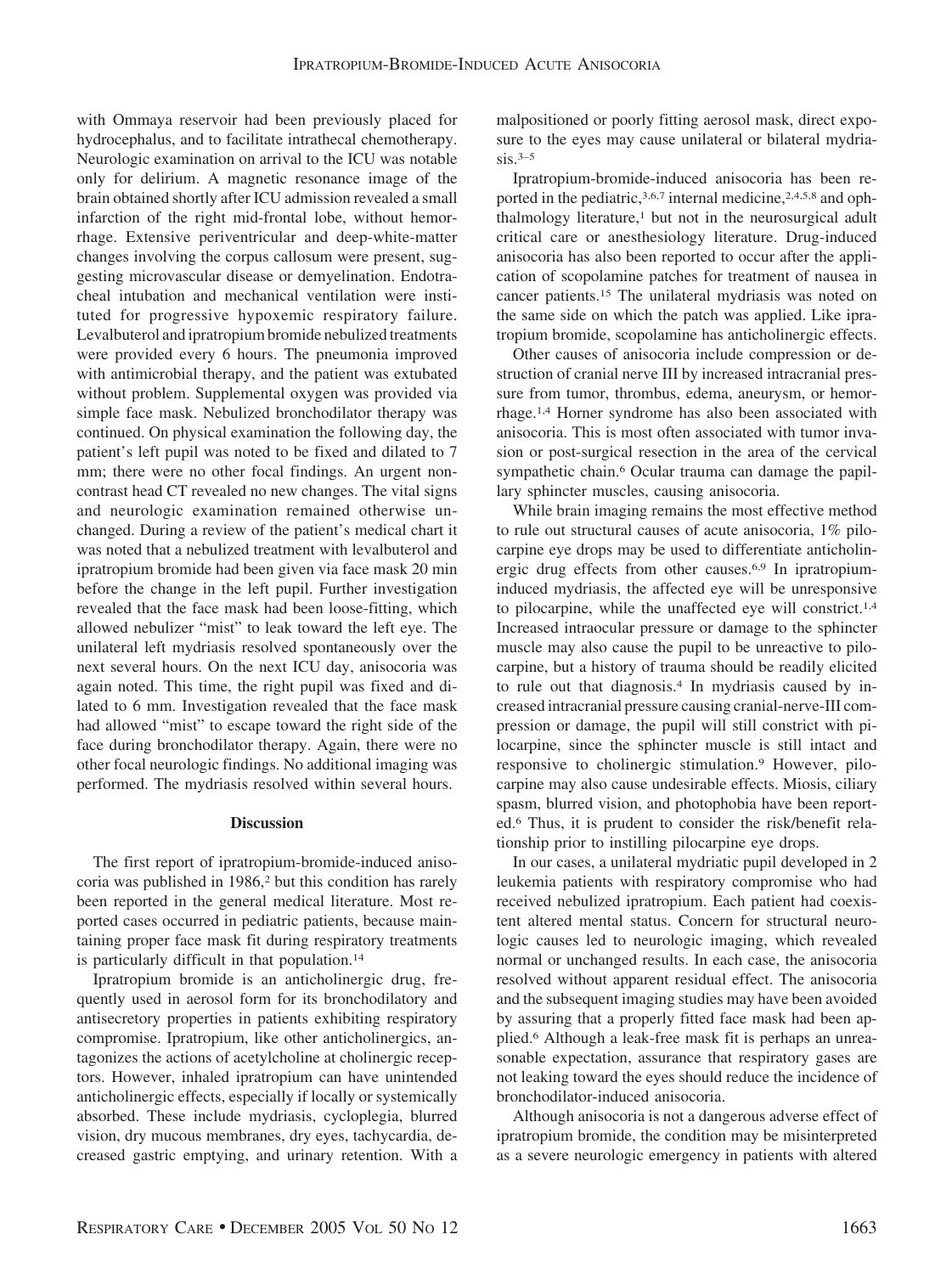with Ommaya reservoir had been previously placed for hydrocephalus, and to facilitate intrathecal chemotherapy. Neurologic examination on arrival to the ICU was notable only for delirium. A magnetic resonance image of the brain obtained shortly after ICU admission revealed a small infarction of the right mid-frontal lobe, without hemorrhage. Extensive periventricular and deep-white-matter changes involving the corpus callosum were present, suggesting microvascular disease or demyelination. Endotracheal intubation and mechanical ventilation were instituted for progressive hypoxemic respiratory failure. Levalbuterol and ipratropium bromide nebulized treatments were provided every 6 hours. The pneumonia improved with antimicrobial therapy, and the patient was extubated without problem. Supplemental oxygen was provided via simple face mask. Nebulized bronchodilator therapy was continued. On physical examination the following day, the patient's left pupil was noted to be fixed and dilated to 7 mm; there were no other focal findings. An urgent noncontrast head CT revealed no new changes. The vital signs and neurologic examination remained otherwise unchanged. During a review of the patient's medical chart it was noted that a nebulized treatment with levalbuterol and ipratropium bromide had been given via face mask 20 min before the change in the left pupil. Further investigation revealed that the face mask had been loose-fitting, which allowed nebulizer "mist" to leak toward the left eye. The unilateral left mydriasis resolved spontaneously over the next several hours. On the next ICU day, anisocoria was again noted. This time, the right pupil was fixed and dilated to 6 mm. Investigation revealed that the face mask had allowed "mist" to escape toward the right side of the face during bronchodilator therapy. Again, there were no other focal neurologic findings. No additional imaging was performed. The mydriasis resolved within several hours.

## **Discussion**

The first report of ipratropium-bromide-induced anisocoria was published in 1986,<sup>2</sup> but this condition has rarely been reported in the general medical literature. Most reported cases occurred in pediatric patients, because maintaining proper face mask fit during respiratory treatments is particularly difficult in that population.14

Ipratropium bromide is an anticholinergic drug, frequently used in aerosol form for its bronchodilatory and antisecretory properties in patients exhibiting respiratory compromise. Ipratropium, like other anticholinergics, antagonizes the actions of acetylcholine at cholinergic receptors. However, inhaled ipratropium can have unintended anticholinergic effects, especially if locally or systemically absorbed. These include mydriasis, cycloplegia, blurred vision, dry mucous membranes, dry eyes, tachycardia, decreased gastric emptying, and urinary retention. With a malpositioned or poorly fitting aerosol mask, direct exposure to the eyes may cause unilateral or bilateral mydria $sis.3-5$ 

Ipratropium-bromide-induced anisocoria has been reported in the pediatric,<sup>3,6,7</sup> internal medicine,<sup>2,4,5,8</sup> and ophthalmology literature,<sup>1</sup> but not in the neurosurgical adult critical care or anesthesiology literature. Drug-induced anisocoria has also been reported to occur after the application of scopolamine patches for treatment of nausea in cancer patients.15 The unilateral mydriasis was noted on the same side on which the patch was applied. Like ipratropium bromide, scopolamine has anticholinergic effects.

Other causes of anisocoria include compression or destruction of cranial nerve III by increased intracranial pressure from tumor, thrombus, edema, aneurysm, or hemorrhage.1,4 Horner syndrome has also been associated with anisocoria. This is most often associated with tumor invasion or post-surgical resection in the area of the cervical sympathetic chain.<sup>6</sup> Ocular trauma can damage the papillary sphincter muscles, causing anisocoria.

While brain imaging remains the most effective method to rule out structural causes of acute anisocoria, 1% pilocarpine eye drops may be used to differentiate anticholinergic drug effects from other causes.6,9 In ipratropiuminduced mydriasis, the affected eye will be unresponsive to pilocarpine, while the unaffected eye will constrict.1,4 Increased intraocular pressure or damage to the sphincter muscle may also cause the pupil to be unreactive to pilocarpine, but a history of trauma should be readily elicited to rule out that diagnosis.4 In mydriasis caused by increased intracranial pressure causing cranial-nerve-III compression or damage, the pupil will still constrict with pilocarpine, since the sphincter muscle is still intact and responsive to cholinergic stimulation.9 However, pilocarpine may also cause undesirable effects. Miosis, ciliary spasm, blurred vision, and photophobia have been reported.6 Thus, it is prudent to consider the risk/benefit relationship prior to instilling pilocarpine eye drops.

In our cases, a unilateral mydriatic pupil developed in 2 leukemia patients with respiratory compromise who had received nebulized ipratropium. Each patient had coexistent altered mental status. Concern for structural neurologic causes led to neurologic imaging, which revealed normal or unchanged results. In each case, the anisocoria resolved without apparent residual effect. The anisocoria and the subsequent imaging studies may have been avoided by assuring that a properly fitted face mask had been applied.6 Although a leak-free mask fit is perhaps an unreasonable expectation, assurance that respiratory gases are not leaking toward the eyes should reduce the incidence of bronchodilator-induced anisocoria.

Although anisocoria is not a dangerous adverse effect of ipratropium bromide, the condition may be misinterpreted as a severe neurologic emergency in patients with altered